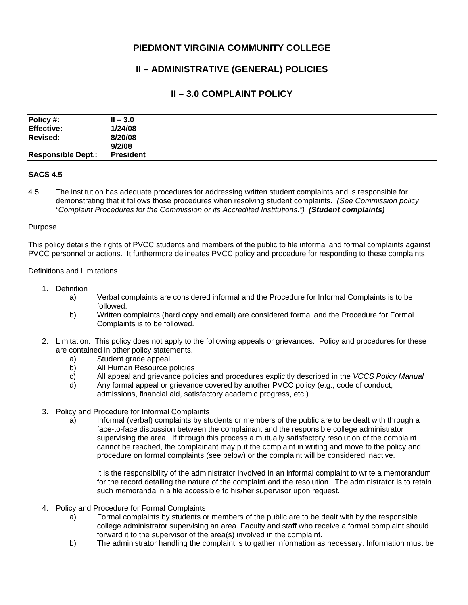## **PIEDMONT VIRGINIA COMMUNITY COLLEGE**

# **II – ADMINISTRATIVE (GENERAL) POLICIES**

### **II – 3.0 COMPLAINT POLICY**

| Policy #:                 | $II - 3.0$       |
|---------------------------|------------------|
| <b>Effective:</b>         | 1/24/08          |
| Revised:                  | 8/20/08          |
|                           | 9/2/08           |
| <b>Responsible Dept.:</b> | <b>President</b> |

### **SACS 4.5**

4.5 The institution has adequate procedures for addressing written student complaints and is responsible for demonstrating that it follows those procedures when resolving student complaints. *(See Commission policy "Complaint Procedures for the Commission or its Accredited Institutions.") (Student complaints)* 

#### **Purpose**

This policy details the rights of PVCC students and members of the public to file informal and formal complaints against PVCC personnel or actions. It furthermore delineates PVCC policy and procedure for responding to these complaints.

#### Definitions and Limitations

- 1. Definition
	- a) Verbal complaints are considered informal and the Procedure for Informal Complaints is to be followed.
	- b) Written complaints (hard copy and email) are considered formal and the Procedure for Formal Complaints is to be followed.
- 2. Limitation. This policy does not apply to the following appeals or grievances. Policy and procedures for these are contained in other policy statements.
	- a) Student grade appeal
	- b) All Human Resource policies
	- c) All appeal and grievance policies and procedures explicitly described in the *VCCS Policy Manual*
	- d) Any formal appeal or grievance covered by another PVCC policy (e.g., code of conduct, admissions, financial aid, satisfactory academic progress, etc.)
- 3. Policy and Procedure for Informal Complaints
	- a) Informal (verbal) complaints by students or members of the public are to be dealt with through a face-to-face discussion between the complainant and the responsible college administrator supervising the area. If through this process a mutually satisfactory resolution of the complaint cannot be reached, the complainant may put the complaint in writing and move to the policy and procedure on formal complaints (see below) or the complaint will be considered inactive.

It is the responsibility of the administrator involved in an informal complaint to write a memorandum for the record detailing the nature of the complaint and the resolution. The administrator is to retain such memoranda in a file accessible to his/her supervisor upon request.

- 4. Policy and Procedure for Formal Complaints
	- a) Formal complaints by students or members of the public are to be dealt with by the responsible college administrator supervising an area. Faculty and staff who receive a formal complaint should forward it to the supervisor of the area(s) involved in the complaint.
	- b) The administrator handling the complaint is to gather information as necessary. Information must be